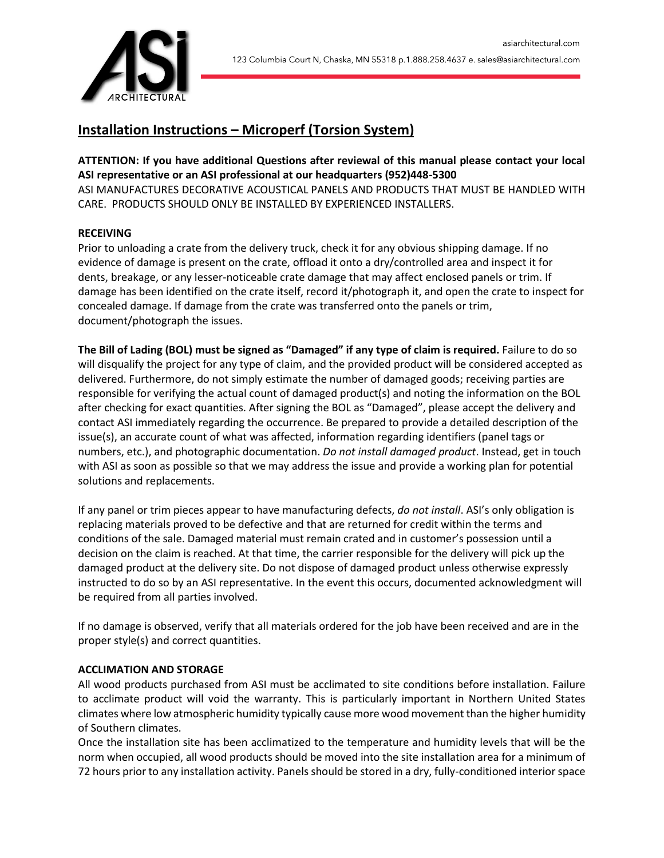

# **Installation Instructions – Microperf (Torsion System)**

**ATTENTION: If you have additional Questions after reviewal of this manual please contact your local ASI representative or an ASI professional at our headquarters (952)448-5300** ASI MANUFACTURES DECORATIVE ACOUSTICAL PANELS AND PRODUCTS THAT MUST BE HANDLED WITH CARE. PRODUCTS SHOULD ONLY BE INSTALLED BY EXPERIENCED INSTALLERS.

# **RECEIVING**

Prior to unloading a crate from the delivery truck, check it for any obvious shipping damage. If no evidence of damage is present on the crate, offload it onto a dry/controlled area and inspect it for dents, breakage, or any lesser-noticeable crate damage that may affect enclosed panels or trim. If damage has been identified on the crate itself, record it/photograph it, and open the crate to inspect for concealed damage. If damage from the crate was transferred onto the panels or trim, document/photograph the issues.

**The Bill of Lading (BOL) must be signed as "Damaged" if any type of claim is required.** Failure to do so will disqualify the project for any type of claim, and the provided product will be considered accepted as delivered. Furthermore, do not simply estimate the number of damaged goods; receiving parties are responsible for verifying the actual count of damaged product(s) and noting the information on the BOL after checking for exact quantities. After signing the BOL as "Damaged", please accept the delivery and contact ASI immediately regarding the occurrence. Be prepared to provide a detailed description of the issue(s), an accurate count of what was affected, information regarding identifiers (panel tags or numbers, etc.), and photographic documentation. *Do not install damaged product*. Instead, get in touch with ASI as soon as possible so that we may address the issue and provide a working plan for potential solutions and replacements.

If any panel or trim pieces appear to have manufacturing defects, *do not install*. ASI's only obligation is replacing materials proved to be defective and that are returned for credit within the terms and conditions of the sale. Damaged material must remain crated and in customer's possession until a decision on the claim is reached. At that time, the carrier responsible for the delivery will pick up the damaged product at the delivery site. Do not dispose of damaged product unless otherwise expressly instructed to do so by an ASI representative. In the event this occurs, documented acknowledgment will be required from all parties involved.

If no damage is observed, verify that all materials ordered for the job have been received and are in the proper style(s) and correct quantities.

# **ACCLIMATION AND STORAGE**

All wood products purchased from ASI must be acclimated to site conditions before installation. Failure to acclimate product will void the warranty. This is particularly important in Northern United States climates where low atmospheric humidity typically cause more wood movement than the higher humidity of Southern climates.

Once the installation site has been acclimatized to the temperature and humidity levels that will be the norm when occupied, all wood products should be moved into the site installation area for a minimum of 72 hours prior to any installation activity. Panels should be stored in a dry, fully-conditioned interior space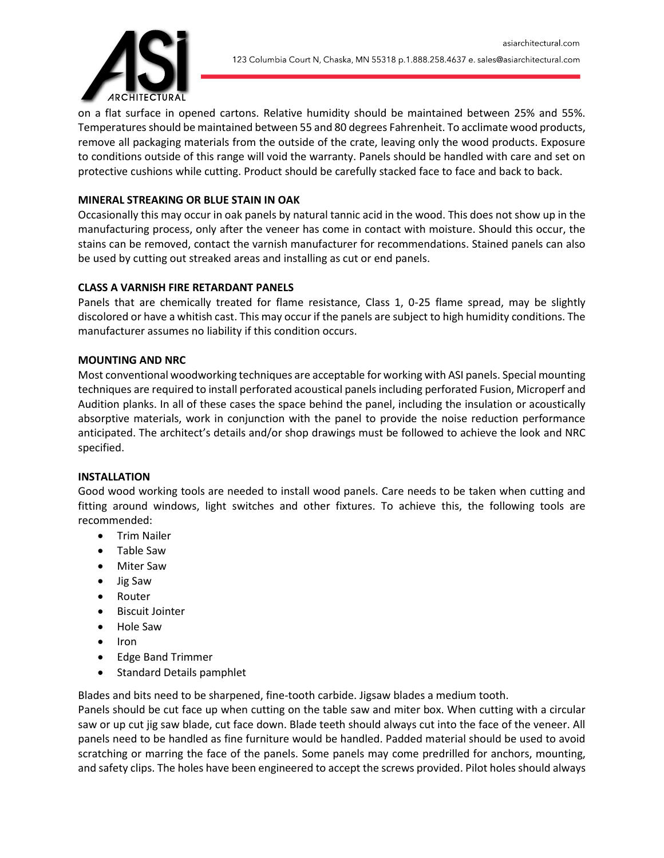

on a flat surface in opened cartons. Relative humidity should be maintained between 25% and 55%. Temperatures should be maintained between 55 and 80 degrees Fahrenheit. To acclimate wood products, remove all packaging materials from the outside of the crate, leaving only the wood products. Exposure to conditions outside of this range will void the warranty. Panels should be handled with care and set on protective cushions while cutting. Product should be carefully stacked face to face and back to back.

# **MINERAL STREAKING OR BLUE STAIN IN OAK**

Occasionally this may occur in oak panels by natural tannic acid in the wood. This does not show up in the manufacturing process, only after the veneer has come in contact with moisture. Should this occur, the stains can be removed, contact the varnish manufacturer for recommendations. Stained panels can also be used by cutting out streaked areas and installing as cut or end panels.

## **CLASS A VARNISH FIRE RETARDANT PANELS**

Panels that are chemically treated for flame resistance, Class 1, 0-25 flame spread, may be slightly discolored or have a whitish cast. This may occur if the panels are subject to high humidity conditions. The manufacturer assumes no liability if this condition occurs.

#### **MOUNTING AND NRC**

Most conventional woodworking techniques are acceptable for working with ASI panels. Special mounting techniques are required to install perforated acoustical panels including perforated Fusion, Microperf and Audition planks. In all of these cases the space behind the panel, including the insulation or acoustically absorptive materials, work in conjunction with the panel to provide the noise reduction performance anticipated. The architect's details and/or shop drawings must be followed to achieve the look and NRC specified.

#### **INSTALLATION**

Good wood working tools are needed to install wood panels. Care needs to be taken when cutting and fitting around windows, light switches and other fixtures. To achieve this, the following tools are recommended:

- Trim Nailer
- Table Saw
- Miter Saw
- Jig Saw
- Router
- Biscuit Jointer
- Hole Saw
- Iron
- Edge Band Trimmer
- Standard Details pamphlet

Blades and bits need to be sharpened, fine-tooth carbide. Jigsaw blades a medium tooth.

Panels should be cut face up when cutting on the table saw and miter box. When cutting with a circular saw or up cut jig saw blade, cut face down. Blade teeth should always cut into the face of the veneer. All panels need to be handled as fine furniture would be handled. Padded material should be used to avoid scratching or marring the face of the panels. Some panels may come predrilled for anchors, mounting, and safety clips. The holes have been engineered to accept the screws provided. Pilot holes should always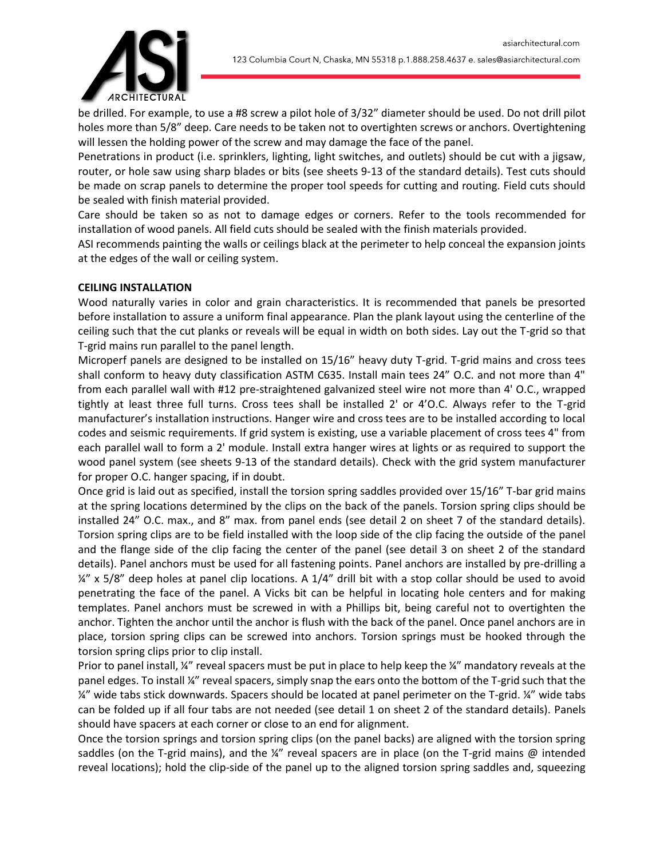

be drilled. For example, to use a #8 screw a pilot hole of 3/32" diameter should be used. Do not drill pilot holes more than 5/8" deep. Care needs to be taken not to overtighten screws or anchors. Overtightening will lessen the holding power of the screw and may damage the face of the panel.

Penetrations in product (i.e. sprinklers, lighting, light switches, and outlets) should be cut with a jigsaw, router, or hole saw using sharp blades or bits (see sheets 9-13 of the standard details). Test cuts should be made on scrap panels to determine the proper tool speeds for cutting and routing. Field cuts should be sealed with finish material provided.

Care should be taken so as not to damage edges or corners. Refer to the tools recommended for installation of wood panels. All field cuts should be sealed with the finish materials provided.

ASI recommends painting the walls or ceilings black at the perimeter to help conceal the expansion joints at the edges of the wall or ceiling system.

## **CEILING INSTALLATION**

Wood naturally varies in color and grain characteristics. It is recommended that panels be presorted before installation to assure a uniform final appearance. Plan the plank layout using the centerline of the ceiling such that the cut planks or reveals will be equal in width on both sides. Lay out the T-grid so that T-grid mains run parallel to the panel length.

Microperf panels are designed to be installed on 15/16" heavy duty T-grid. T-grid mains and cross tees shall conform to heavy duty classification ASTM C635. Install main tees 24" O.C. and not more than 4" from each parallel wall with #12 pre-straightened galvanized steel wire not more than 4' O.C., wrapped tightly at least three full turns. Cross tees shall be installed 2' or 4'O.C. Always refer to the T-grid manufacturer's installation instructions. Hanger wire and cross tees are to be installed according to local codes and seismic requirements. If grid system is existing, use a variable placement of cross tees 4" from each parallel wall to form a 2' module. Install extra hanger wires at lights or as required to support the wood panel system (see sheets 9-13 of the standard details). Check with the grid system manufacturer for proper O.C. hanger spacing, if in doubt.

Once grid is laid out as specified, install the torsion spring saddles provided over 15/16" T-bar grid mains at the spring locations determined by the clips on the back of the panels. Torsion spring clips should be installed 24" O.C. max., and 8" max. from panel ends (see detail 2 on sheet 7 of the standard details). Torsion spring clips are to be field installed with the loop side of the clip facing the outside of the panel and the flange side of the clip facing the center of the panel (see detail 3 on sheet 2 of the standard details). Panel anchors must be used for all fastening points. Panel anchors are installed by pre-drilling a  $\frac{\chi''}{\chi}$  x 5/8" deep holes at panel clip locations. A 1/4" drill bit with a stop collar should be used to avoid penetrating the face of the panel. A Vicks bit can be helpful in locating hole centers and for making templates. Panel anchors must be screwed in with a Phillips bit, being careful not to overtighten the anchor. Tighten the anchor until the anchor is flush with the back of the panel. Once panel anchors are in place, torsion spring clips can be screwed into anchors. Torsion springs must be hooked through the torsion spring clips prior to clip install.

Prior to panel install, ¼" reveal spacers must be put in place to help keep the ¼" mandatory reveals at the panel edges. To install ¼" reveal spacers, simply snap the ears onto the bottom of the T-grid such that the ¼" wide tabs stick downwards. Spacers should be located at panel perimeter on the T-grid. ¼" wide tabs can be folded up if all four tabs are not needed (see detail 1 on sheet 2 of the standard details). Panels should have spacers at each corner or close to an end for alignment.

Once the torsion springs and torsion spring clips (on the panel backs) are aligned with the torsion spring saddles (on the T-grid mains), and the  $\frac{1}{4}$ " reveal spacers are in place (on the T-grid mains @ intended reveal locations); hold the clip-side of the panel up to the aligned torsion spring saddles and, squeezing